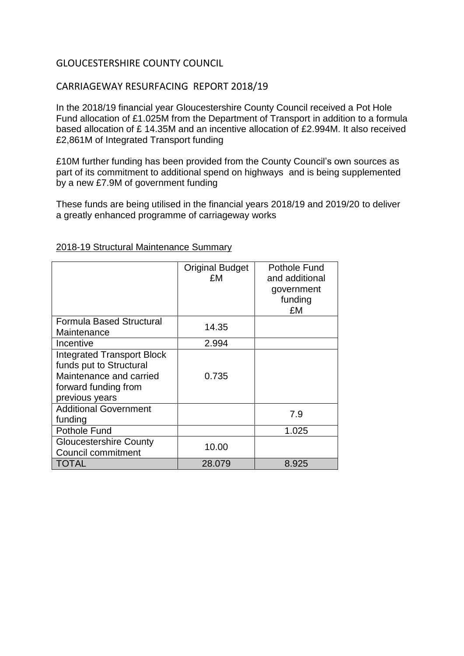## GLOUCESTERSHIRE COUNTY COUNCIL

## CARRIAGEWAY RESURFACING REPORT 2018/19

In the 2018/19 financial year Gloucestershire County Council received a Pot Hole Fund allocation of £1.025M from the Department of Transport in addition to a formula based allocation of £ 14.35M and an incentive allocation of £2.994M. It also received £2,861M of Integrated Transport funding

£10M further funding has been provided from the County Council's own sources as part of its commitment to additional spend on highways and is being supplemented by a new £7.9M of government funding

These funds are being utilised in the financial years 2018/19 and 2019/20 to deliver a greatly enhanced programme of carriageway works

|                                                                                                                                   | <b>Original Budget</b><br>£M | Pothole Fund<br>and additional<br>government<br>funding<br>£M |
|-----------------------------------------------------------------------------------------------------------------------------------|------------------------------|---------------------------------------------------------------|
| <b>Formula Based Structural</b><br>Maintenance                                                                                    | 14.35                        |                                                               |
| Incentive                                                                                                                         | 2.994                        |                                                               |
| <b>Integrated Transport Block</b><br>funds put to Structural<br>Maintenance and carried<br>forward funding from<br>previous years | 0.735                        |                                                               |
| <b>Additional Government</b><br>funding                                                                                           |                              | 7.9                                                           |
| <b>Pothole Fund</b>                                                                                                               |                              | 1.025                                                         |
| <b>Gloucestershire County</b><br>Council commitment                                                                               | 10.00                        |                                                               |
| TOTAL                                                                                                                             | 28.079                       | 8.925                                                         |

## 2018-19 Structural Maintenance Summary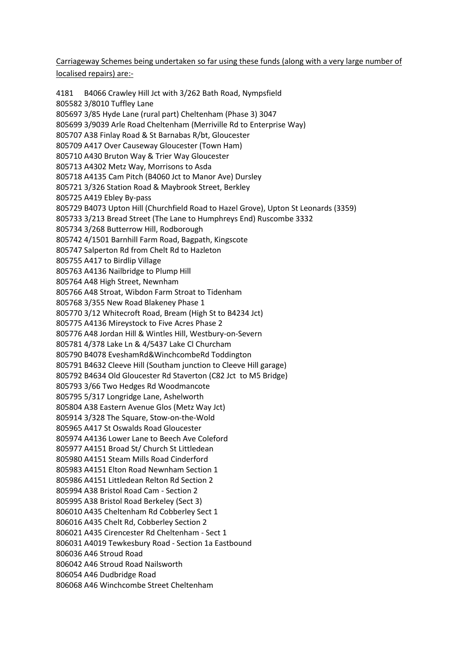Carriageway Schemes being undertaken so far using these funds (along with a very large number of localised repairs) are:-

 B4066 Crawley Hill Jct with 3/262 Bath Road, Nympsfield 3/8010 Tuffley Lane 3/85 Hyde Lane (rural part) Cheltenham (Phase 3) 3047 3/9039 Arle Road Cheltenham (Merriville Rd to Enterprise Way) A38 Finlay Road & St Barnabas R/bt, Gloucester A417 Over Causeway Gloucester (Town Ham) A430 Bruton Way & Trier Way Gloucester A4302 Metz Way, Morrisons to Asda A4135 Cam Pitch (B4060 Jct to Manor Ave) Dursley 3/326 Station Road & Maybrook Street, Berkley A419 Ebley By-pass B4073 Upton Hill (Churchfield Road to Hazel Grove), Upton St Leonards (3359) 3/213 Bread Street (The Lane to Humphreys End) Ruscombe 3332 3/268 Butterrow Hill, Rodborough 4/1501 Barnhill Farm Road, Bagpath, Kingscote Salperton Rd from Chelt Rd to Hazleton A417 to Birdlip Village A4136 Nailbridge to Plump Hill A48 High Street, Newnham A48 Stroat, Wibdon Farm Stroat to Tidenham 3/355 New Road Blakeney Phase 1 3/12 Whitecroft Road, Bream (High St to B4234 Jct) A4136 Mireystock to Five Acres Phase 2 A48 Jordan Hill & Wintles Hill, Westbury-on-Severn 4/378 Lake Ln & 4/5437 Lake Cl Churcham B4078 EveshamRd&WinchcombeRd Toddington B4632 Cleeve Hill (Southam junction to Cleeve Hill garage) B4634 Old Gloucester Rd Staverton (C82 Jct to M5 Bridge) 3/66 Two Hedges Rd Woodmancote 5/317 Longridge Lane, Ashelworth A38 Eastern Avenue Glos (Metz Way Jct) 3/328 The Square, Stow-on-the-Wold A417 St Oswalds Road Gloucester A4136 Lower Lane to Beech Ave Coleford A4151 Broad St/ Church St Littledean A4151 Steam Mills Road Cinderford A4151 Elton Road Newnham Section 1 A4151 Littledean Relton Rd Section 2 A38 Bristol Road Cam - Section 2 A38 Bristol Road Berkeley (Sect 3) A435 Cheltenham Rd Cobberley Sect 1 A435 Chelt Rd, Cobberley Section 2 A435 Cirencester Rd Cheltenham - Sect 1 A4019 Tewkesbury Road - Section 1a Eastbound A46 Stroud Road A46 Stroud Road Nailsworth A46 Dudbridge Road A46 Winchcombe Street Cheltenham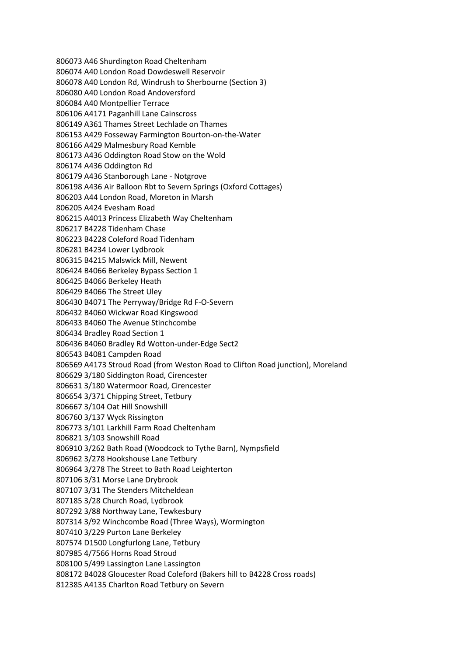A46 Shurdington Road Cheltenham A40 London Road Dowdeswell Reservoir A40 London Rd, Windrush to Sherbourne (Section 3) A40 London Road Andoversford A40 Montpellier Terrace A4171 Paganhill Lane Cainscross A361 Thames Street Lechlade on Thames A429 Fosseway Farmington Bourton-on-the-Water A429 Malmesbury Road Kemble A436 Oddington Road Stow on the Wold A436 Oddington Rd A436 Stanborough Lane - Notgrove A436 Air Balloon Rbt to Severn Springs (Oxford Cottages) A44 London Road, Moreton in Marsh A424 Evesham Road A4013 Princess Elizabeth Way Cheltenham B4228 Tidenham Chase B4228 Coleford Road Tidenham B4234 Lower Lydbrook B4215 Malswick Mill, Newent B4066 Berkeley Bypass Section 1 B4066 Berkeley Heath B4066 The Street Uley B4071 The Perryway/Bridge Rd F-O-Severn B4060 Wickwar Road Kingswood B4060 The Avenue Stinchcombe Bradley Road Section 1 B4060 Bradley Rd Wotton-under-Edge Sect2 B4081 Campden Road A4173 Stroud Road (from Weston Road to Clifton Road junction), Moreland 3/180 Siddington Road, Cirencester 3/180 Watermoor Road, Cirencester 3/371 Chipping Street, Tetbury 3/104 Oat Hill Snowshill 3/137 Wyck Rissington 3/101 Larkhill Farm Road Cheltenham 3/103 Snowshill Road 3/262 Bath Road (Woodcock to Tythe Barn), Nympsfield 3/278 Hookshouse Lane Tetbury 3/278 The Street to Bath Road Leighterton 3/31 Morse Lane Drybrook 3/31 The Stenders Mitcheldean 3/28 Church Road, Lydbrook 3/88 Northway Lane, Tewkesbury 3/92 Winchcombe Road (Three Ways), Wormington 3/229 Purton Lane Berkeley D1500 Longfurlong Lane, Tetbury 4/7566 Horns Road Stroud 5/499 Lassington Lane Lassington B4028 Gloucester Road Coleford (Bakers hill to B4228 Cross roads) A4135 Charlton Road Tetbury on Severn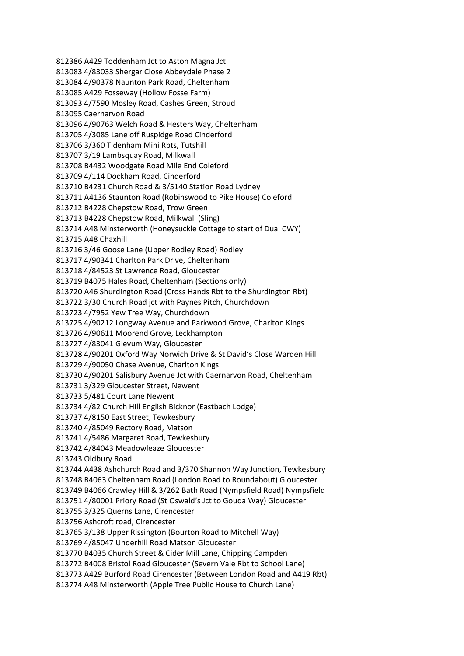A429 Toddenham Jct to Aston Magna Jct 4/83033 Shergar Close Abbeydale Phase 2 4/90378 Naunton Park Road, Cheltenham A429 Fosseway (Hollow Fosse Farm) 4/7590 Mosley Road, Cashes Green, Stroud Caernarvon Road 4/90763 Welch Road & Hesters Way, Cheltenham 4/3085 Lane off Ruspidge Road Cinderford 3/360 Tidenham Mini Rbts, Tutshill 3/19 Lambsquay Road, Milkwall B4432 Woodgate Road Mile End Coleford 4/114 Dockham Road, Cinderford B4231 Church Road & 3/5140 Station Road Lydney A4136 Staunton Road (Robinswood to Pike House) Coleford B4228 Chepstow Road, Trow Green B4228 Chepstow Road, Milkwall (Sling) A48 Minsterworth (Honeysuckle Cottage to start of Dual CWY) A48 Chaxhill 3/46 Goose Lane (Upper Rodley Road) Rodley 4/90341 Charlton Park Drive, Cheltenham 4/84523 St Lawrence Road, Gloucester B4075 Hales Road, Cheltenham (Sections only) A46 Shurdington Road (Cross Hands Rbt to the Shurdington Rbt) 3/30 Church Road jct with Paynes Pitch, Churchdown 4/7952 Yew Tree Way, Churchdown 4/90212 Longway Avenue and Parkwood Grove, Charlton Kings 4/90611 Moorend Grove, Leckhampton 4/83041 Glevum Way, Gloucester 4/90201 Oxford Way Norwich Drive & St David's Close Warden Hill 4/90050 Chase Avenue, Charlton Kings 4/90201 Salisbury Avenue Jct with Caernarvon Road, Cheltenham 3/329 Gloucester Street, Newent 5/481 Court Lane Newent 4/82 Church Hill English Bicknor (Eastbach Lodge) 4/8150 East Street, Tewkesbury 4/85049 Rectory Road, Matson 4/5486 Margaret Road, Tewkesbury 4/84043 Meadowleaze Gloucester Oldbury Road A438 Ashchurch Road and 3/370 Shannon Way Junction, Tewkesbury B4063 Cheltenham Road (London Road to Roundabout) Gloucester B4066 Crawley Hill & 3/262 Bath Road (Nympsfield Road) Nympsfield 4/80001 Priory Road (St Oswald's Jct to Gouda Way) Gloucester 3/325 Querns Lane, Cirencester Ashcroft road, Cirencester 3/138 Upper Rissington (Bourton Road to Mitchell Way) 4/85047 Underhill Road Matson Gloucester B4035 Church Street & Cider Mill Lane, Chipping Campden B4008 Bristol Road Gloucester (Severn Vale Rbt to School Lane) A429 Burford Road Cirencester (Between London Road and A419 Rbt) A48 Minsterworth (Apple Tree Public House to Church Lane)